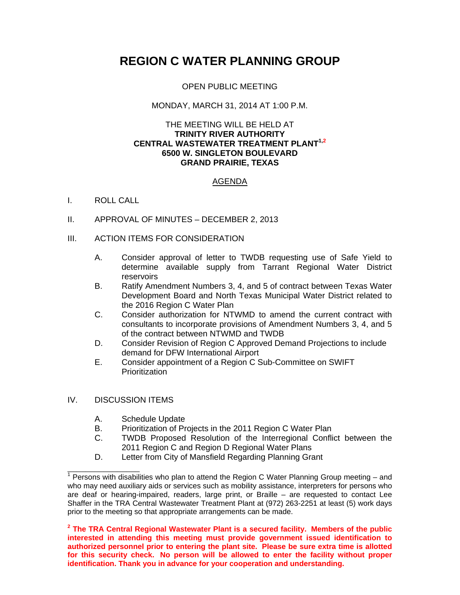# **REGION C WATER PLANNING GROUP**

# OPEN PUBLIC MEETING

## MONDAY, MARCH 31, 2014 AT 1:00 P.M.

#### THE MEETING WILL BE HELD AT **TRINITY RIVER AUTHORITY CENTRAL WASTEWATER TREATMENT PLANT1,2 6500 W. SINGLETON BOULEVARD GRAND PRAIRIE, TEXAS**

# AGENDA

## I. ROLL CALL

- II. APPROVAL OF MINUTES DECEMBER 2, 2013
- III. ACTION ITEMS FOR CONSIDERATION
	- A. Consider approval of letter to TWDB requesting use of Safe Yield to determine available supply from Tarrant Regional Water District reservoirs
	- B. Ratify Amendment Numbers 3, 4, and 5 of contract between Texas Water Development Board and North Texas Municipal Water District related to the 2016 Region C Water Plan
	- C. Consider authorization for NTWMD to amend the current contract with consultants to incorporate provisions of Amendment Numbers 3, 4, and 5 of the contract between NTWMD and TWDB
	- D. Consider Revision of Region C Approved Demand Projections to include demand for DFW International Airport
	- E. Consider appointment of a Region C Sub-Committee on SWIFT **Prioritization**

## IV. DISCUSSION ITEMS

- A. Schedule Update
- B. Prioritization of Projects in the 2011 Region C Water Plan
- C. TWDB Proposed Resolution of the Interregional Conflict between the 2011 Region C and Region D Regional Water Plans
- D. Letter from City of Mansfield Regarding Planning Grant

**2 The TRA Central Regional Wastewater Plant is a secured facility. Members of the public interested in attending this meeting must provide government issued identification to authorized personnel prior to entering the plant site. Please be sure extra time is allotted for this security check. No person will be allowed to enter the facility without proper identification. Thank you in advance for your cooperation and understanding.** 

\_\_\_\_\_\_\_\_\_\_\_\_\_\_\_\_ 1 Persons with disabilities who plan to attend the Region C Water Planning Group meeting – and who may need auxiliary aids or services such as mobility assistance, interpreters for persons who are deaf or hearing-impaired, readers, large print, or Braille – are requested to contact Lee Shaffer in the TRA Central Wastewater Treatment Plant at (972) 263-2251 at least (5) work days prior to the meeting so that appropriate arrangements can be made.